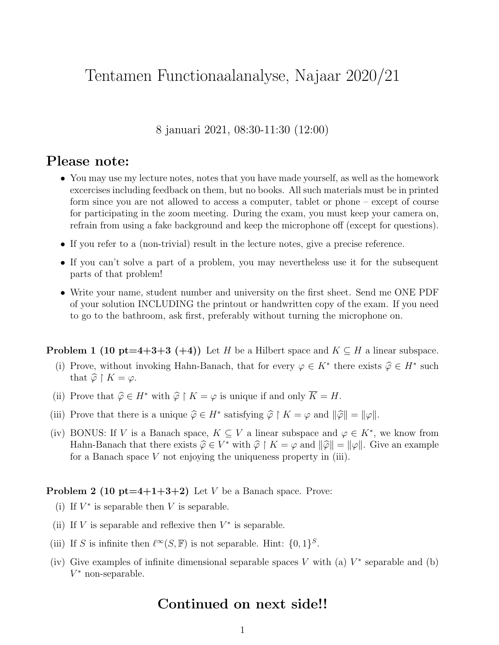# Tentamen Functionaalanalyse, Najaar 2020/21

8 januari 2021, 08:30-11:30 (12:00)

#### Please note:

- You may use my lecture notes, notes that you have made yourself, as well as the homework excercises including feedback on them, but no books. All such materials must be in printed form since you are not allowed to access a computer, tablet or phone – except of course for participating in the zoom meeting. During the exam, you must keep your camera on, refrain from using a fake background and keep the microphone off (except for questions).
- If you refer to a (non-trivial) result in the lecture notes, give a precise reference.
- If you can't solve a part of a problem, you may nevertheless use it for the subsequent parts of that problem!
- Write your name, student number and university on the first sheet. Send me ONE PDF of your solution INCLUDING the printout or handwritten copy of the exam. If you need to go to the bathroom, ask first, preferably without turning the microphone on.

**Problem 1 (10 pt=4+3+3 (+4))** Let H be a Hilbert space and  $K \subseteq H$  a linear subspace.

- (i) Prove, without invoking Hahn-Banach, that for every  $\varphi \in K^*$  there exists  $\hat{\varphi} \in H^*$  such that  $\hat{\varphi} \upharpoonright K = \varphi$ . that  $\widehat{\varphi} \restriction K = \varphi$ .
- (ii) Prove that  $\widehat{\varphi} \in H^*$  with  $\widehat{\varphi} \restriction K = \varphi$  is unique if and only  $\overline{K} = H$ .
- (iii) Prove that there is a unique  $\hat{\varphi} \in H^*$  satisfying  $\hat{\varphi} \upharpoonright K = \varphi$  and  $\|\hat{\varphi}\| = \|\varphi\|$ .
- (iv) BONUS: If V is a Banach space,  $K \subseteq V$  a linear subspace and  $\varphi \in K^*$ , we know from Hahn-Banach that there exists  $\hat{\varphi} \in V^*$  with  $\hat{\varphi} \upharpoonright K = \varphi$  and  $\|\hat{\varphi}\| = \|\varphi\|$ . Give an example for a Banach groce V not opicing the uniqueness property in (iii) for a Banach space  $V$  not enjoying the uniqueness property in (iii).

#### **Problem 2 (10 pt=4+1+3+2)** Let V be a Banach space. Prove:

- (i) If  $V^*$  is separable then V is separable.
- (ii) If  $V$  is separable and reflexive then  $V^*$  is separable.
- (iii) If S is infinite then  $\ell^{\infty}(S, \mathbb{F})$  is not separable. Hint:  $\{0, 1\}^S$ .
- (iv) Give examples of infinite dimensional separable spaces  $V$  with (a)  $V^*$  separable and (b)  $V^*$  non-separable.

## Continued on next side!!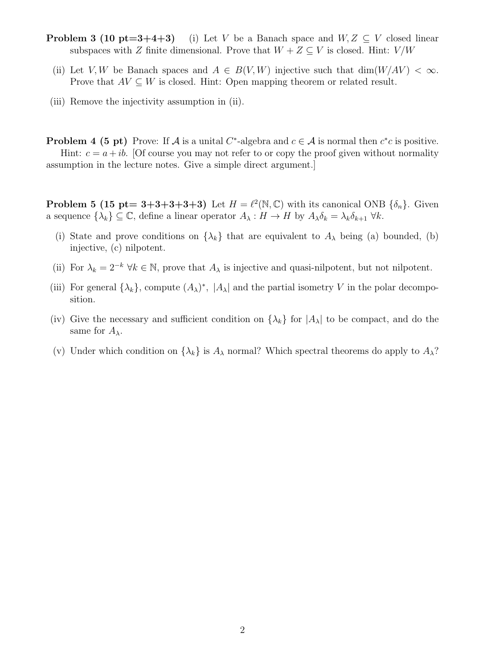- **Problem 3 (10 pt=3+4+3)** (i) Let V be a Banach space and  $W, Z \subseteq V$  closed linear subspaces with Z finite dimensional. Prove that  $W + Z \subseteq V$  is closed. Hint:  $V/W$ 
	- (ii) Let V, W be Banach spaces and  $A \in B(V, W)$  injective such that  $\dim(W/AV) < \infty$ . Prove that  $AV \subseteq W$  is closed. Hint: Open mapping theorem or related result.
- (iii) Remove the injectivity assumption in (ii).

**Problem 4 (5 pt)** Prove: If A is a unital C<sup>\*</sup>-algebra and  $c \in A$  is normal then  $c^*c$  is positive. Hint:  $c = a + ib$ . [Of course you may not refer to or copy the proof given without normality assumption in the lecture notes. Give a simple direct argument.]

**Problem 5 (15 pt = 3+3+3+3+3)** Let  $H = \ell^2(\mathbb{N}, \mathbb{C})$  with its canonical ONB  $\{\delta_n\}$ . Given a sequence  $\{\lambda_k\} \subseteq \mathbb{C}$ , define a linear operator  $A_\lambda : H \to H$  by  $A_\lambda \delta_k = \lambda_k \delta_{k+1} \ \forall k$ .

- (i) State and prove conditions on  $\{\lambda_k\}$  that are equivalent to  $A_\lambda$  being (a) bounded, (b) injective, (c) nilpotent.
- (ii) For  $\lambda_k = 2^{-k} \forall k \in \mathbb{N}$ , prove that  $A_\lambda$  is injective and quasi-nilpotent, but not nilpotent.
- (iii) For general  $\{\lambda_k\}$ , compute  $(A_{\lambda})^*$ ,  $|A_{\lambda}|$  and the partial isometry V in the polar decomposition.
- (iv) Give the necessary and sufficient condition on  $\{\lambda_k\}$  for  $|A_\lambda|$  to be compact, and do the same for  $A_{\lambda}$ .
- (v) Under which condition on  $\{\lambda_k\}$  is  $A_\lambda$  normal? Which spectral theorems do apply to  $A_\lambda$ ?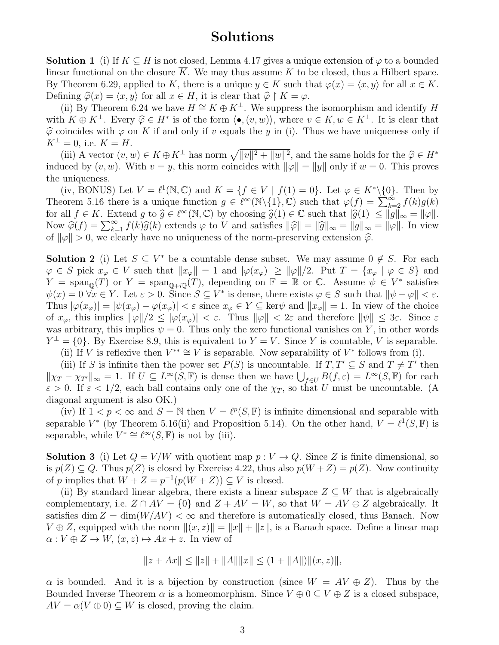### Solutions

**Solution 1** (i) If  $K \subseteq H$  is not closed, Lemma 4.17 gives a unique extension of  $\varphi$  to a bounded linear functional on the closure  $\overline{K}$ . We may thus assume K to be closed, thus a Hilbert space. By Theorem 6.29, applied to K, there is a unique  $y \in K$  such that  $\varphi(x) = \langle x, y \rangle$  for all  $x \in K$ . Defining  $\widehat{\varphi}(x) = \langle x, y \rangle$  for all  $x \in H$ , it is clear that  $\widehat{\varphi} \restriction K = \varphi$ .

(ii) By Theorem 6.24 we have  $H \cong K \oplus K^{\perp}$ . We suppress the isomorphism and identify H with  $K \oplus K^{\perp}$ . Every  $\widehat{\varphi} \in H^*$  is of the form  $\langle \bullet, (v, w) \rangle$ , where  $v \in K, w \in K^{\perp}$ . It is clear that  $\widehat{\varphi}$  coincides with  $\varphi$  on K if and only if a couple the  $\psi$  in (i). Thus we have uniqueness only if  $\hat{\varphi}$  coincides with  $\varphi$  on K if and only if v equals the y in (i). Thus we have uniqueness only if  $K^{\perp} = 0$ , i.e.  $K = H$ .

(iii) A vector  $(v, w) \in K \oplus K^{\perp}$  has norm  $\sqrt{\|v\|^2 + \|w\|^2}$ , and the same holds for the  $\hat{\varphi} \in H^*$ <br>used by  $(v, w)$ . With  $v = u$  this norm coincides with  $||\varphi|| = ||u||$  only if  $w = 0$ . This proves induced by  $(v, w)$ . With  $v = y$ , this norm coincides with  $\|\varphi\| = \|y\|$  only if  $w = 0$ . This proves the uniqueness.

(iv, BONUS) Let  $V = \ell^1(\mathbb{N}, \mathbb{C})$  and  $K = \{f \in V \mid f(1) = 0\}$ . Let  $\varphi \in K^*\backslash \{0\}$ . Then by Theorem 5.16 there is a unique function  $g \in \ell^{\infty}(\mathbb{N}\setminus\{1\}, \mathbb{C})$  such that  $\varphi(f) = \sum_{k=2}^{\infty} f(k)g(k)$ for all  $f \in K$ . Extend g to  $\hat{g} \in \ell^{\infty}(\mathbb{N}, \mathbb{C})$  by choosing  $\hat{g}(1) \in \mathbb{C}$  such that  $|\hat{g}(1)| \le ||g||_{\infty} = ||\varphi||$ .<br>Now  $\hat{g}(f) = \sum_{\alpha}^{\infty} f(k)\hat{g}(k)$  extends  $\varphi$  to  $V$  and estimates  $||\hat{g}|| = ||\hat{g}|| = ||g|| = ||g||$ . Now  $\hat{\varphi}(f) = \sum_{k=1}^{\infty} f(k)\hat{g}(k)$  extends  $\varphi$  to V and satisfies  $\|\hat{\varphi}\| = \|\hat{g}\|_{\infty} = \|g\|_{\infty} = \|\varphi\|$ . In view of  $\|\varphi\| > 0$ , we clearly have no uniqueness of the norm-preserving extension  $\hat{\varphi}$ .

**Solution 2** (i) Let  $S \subseteq V^*$  be a countable dense subset. We may assume  $0 \notin S$ . For each  $\varphi \in S$  pick  $x_{\varphi} \in V$  such that  $||x_{\varphi}|| = 1$  and  $|\varphi(x_{\varphi})| \ge ||\varphi||/2$ . Put  $T = \{x_{\varphi} \mid \varphi \in S\}$  and  $Y = \text{span}_{\mathbb{Q}}(T)$  or  $Y = \text{span}_{\mathbb{Q}^+\mathbb{N}}(T)$ , depending on  $\mathbb{F} = \mathbb{R}$  or  $\mathbb{C}$ . Assume  $\psi \in V^*$  satisfies  $\psi(x) = 0 \,\forall x \in Y$ . Let  $\varepsilon > 0$ . Since  $S \subseteq V^*$  is dense, there exists  $\varphi \in S$  such that  $\|\psi - \varphi\| < \varepsilon$ . Thus  $|\varphi(x_{\varphi})| = |\psi(x_{\varphi}) - \varphi(x_{\varphi})| < \varepsilon$  since  $x_{\varphi} \in Y \subseteq \text{ker}\psi$  and  $||x_{\varphi}|| = 1$ . In view of the choice of  $x_{\varphi}$ , this implies  $\|\varphi\|/2 \leq |\varphi(x_{\varphi})| < \varepsilon$ . Thus  $\|\varphi\| < 2\varepsilon$  and therefore  $\|\psi\| \leq 3\varepsilon$ . Since  $\varepsilon$ was arbitrary, this implies  $\psi = 0$ . Thus only the zero functional vanishes on Y, in other words  $Y^{\perp} = \{0\}$ . By Exercise 8.9, this is equivalent to  $\overline{Y} = V$ . Since Y is countable, V is separable. (ii) If V is reflexive then  $V^{**} \cong V$  is separable. Now separability of  $V^*$  follows from (i).

(iii) If S is infinite then the power set  $P(S)$  is uncountable. If  $T, T' \subseteq S$  and  $T \neq T'$  then  $\|\chi_T - \chi_{T'}\|_{\infty} = 1$ . If  $U \subseteq L^{\infty}(S, \mathbb{F})$  is dense then we have  $\bigcup_{f \in U} B(f, \varepsilon) = L^{\infty}(S, \mathbb{F})$  for each  $\varepsilon > 0$ . If  $\varepsilon < 1/2$ , each ball contains only one of the  $\chi_T$ , so that U must be uncountable. (A diagonal argument is also OK.)

(iv) If  $1 < p < \infty$  and  $S = \mathbb{N}$  then  $V = \ell^p(S, \mathbb{F})$  is infinite dimensional and separable with separable  $V^*$  (by Theorem 5.16(ii) and Proposition 5.14). On the other hand,  $V = \ell^1(S, \mathbb{F})$  is separable, while  $V^* \cong \ell^{\infty}(S, \mathbb{F})$  is not by (iii).

**Solution 3** (i) Let  $Q = V/W$  with quotient map  $p: V \to Q$ . Since Z is finite dimensional, so is  $p(Z) \subseteq Q$ . Thus  $p(Z)$  is closed by Exercise 4.22, thus also  $p(W + Z) = p(Z)$ . Now continuity of p implies that  $W + Z = p^{-1}(p(W + Z)) \subseteq V$  is closed.

(ii) By standard linear algebra, there exists a linear subspace  $Z \subseteq W$  that is algebraically complementary, i.e.  $Z \cap AV = \{0\}$  and  $Z + AV = W$ , so that  $W = AV \oplus Z$  algebraically. It satisfies dim  $Z = \dim(W/AV) < \infty$  and therefore is automatically closed, thus Banach. Now  $V \oplus Z$ , equipped with the norm  $\|(x, z)\| = \|x\| + \|z\|$ , is a Banach space. Define a linear map  $\alpha: V \oplus Z \to W$ ,  $(x, z) \mapsto Ax + z$ . In view of

$$
||z + Ax|| \le ||z|| + ||A|| ||x|| \le (1 + ||A||) ||(x, z)||,
$$

 $\alpha$  is bounded. And it is a bijection by construction (since  $W = AV \oplus Z$ ). Thus by the Bounded Inverse Theorem  $\alpha$  is a homeomorphism. Since  $V \oplus 0 \subseteq V \oplus Z$  is a closed subspace,  $AV = \alpha(V \oplus 0) \subseteq W$  is closed, proving the claim.